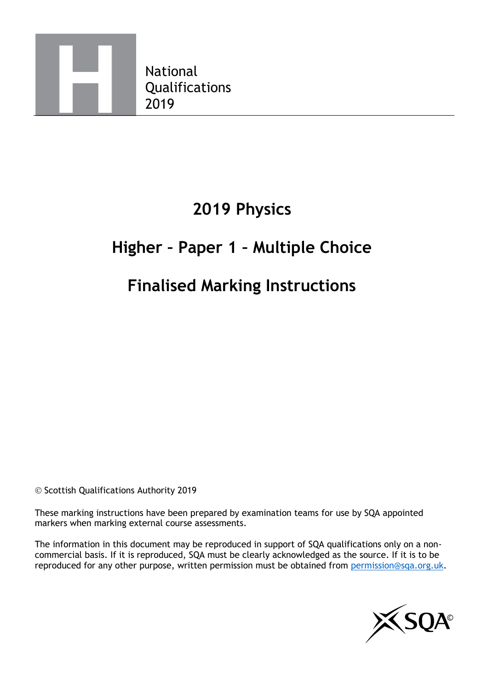

# **2019 Physics**

# **Higher – Paper 1 – Multiple Choice**

## **Finalised Marking Instructions**

© Scottish Qualifications Authority 2019

These marking instructions have been prepared by examination teams for use by SQA appointed markers when marking external course assessments.

The information in this document may be reproduced in support of SQA qualifications only on a noncommercial basis. If it is reproduced, SQA must be clearly acknowledged as the source. If it is to be reproduced for any other purpose, written permission must be obtained from [permission@sqa.org.uk.](mailto:permission@sqa.org.uk)

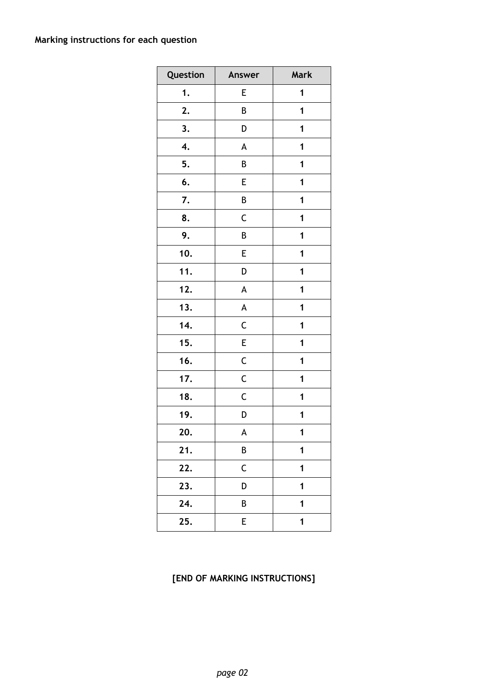### **Marking instructions for each question**

| Question | Answer                    | Mark        |  |
|----------|---------------------------|-------------|--|
| 1.       | E                         | 1           |  |
| 2.       | В                         | 1           |  |
| 3.       | D                         | 1           |  |
| 4.       | A                         | 1           |  |
| 5.       | B                         | 1           |  |
| 6.       | E                         | 1           |  |
| 7.       | B                         | 1           |  |
| 8.       | $\mathsf C$               | 1           |  |
| 9.       | B                         | 1           |  |
| 10.      | E                         | 1           |  |
| 11.      | D                         | 1           |  |
| 12.      | A                         | 1           |  |
| 13.      | $\boldsymbol{\mathsf{A}}$ | 1           |  |
| 14.      | $\mathsf C$               | 1           |  |
| 15.      | E                         | 1           |  |
| 16.      | $\mathsf C$               | 1           |  |
| 17.      | $\mathsf C$               | 1           |  |
| 18.      | C                         | 1           |  |
| 19.      | D                         | 1           |  |
| 20.      | A                         | 1           |  |
| 21.      | B                         | 1           |  |
| 22.      | $\mathsf C$               | 1           |  |
| 23.      | D                         | 1           |  |
| 24.      | B                         | 1           |  |
| 25.      | E                         | $\mathbf 1$ |  |

### **[END OF MARKING INSTRUCTIONS]**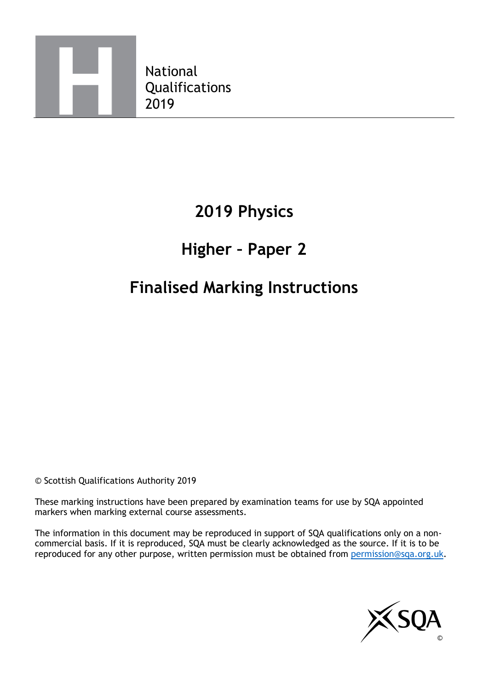

# **2019 Physics**

## **Higher – Paper 2**

## **Finalised Marking Instructions**

© Scottish Qualifications Authority 2019

These marking instructions have been prepared by examination teams for use by SQA appointed markers when marking external course assessments.

The information in this document may be reproduced in support of SQA qualifications only on a noncommercial basis. If it is reproduced, SQA must be clearly acknowledged as the source. If it is to be reproduced for any other purpose, written permission must be obtained from [permission@sqa.org.uk.](mailto:permission@sqa.org.uk)

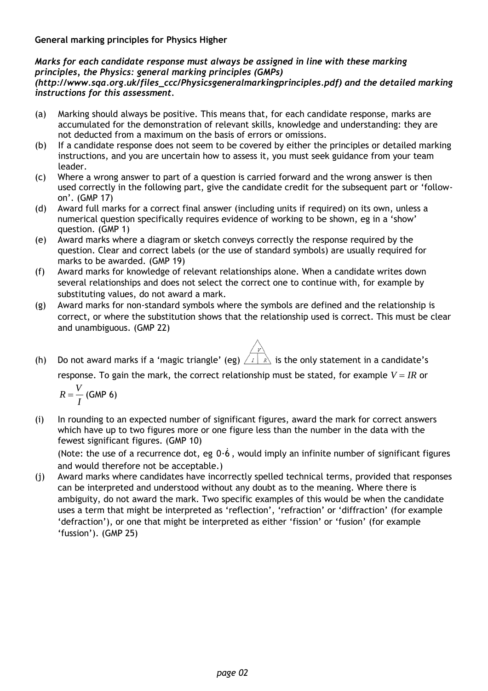**General marking principles for Physics Higher**

### *Marks for each candidate response must always be assigned in line with these marking principles, the Physics: general marking principles (GMPs)*

#### *(http://www.sqa.org.uk/files\_ccc/Physicsgeneralmarkingprinciples.pdf) and the detailed marking instructions for this assessment.*

- (a) Marking should always be positive. This means that, for each candidate response, marks are accumulated for the demonstration of relevant skills, knowledge and understanding: they are not deducted from a maximum on the basis of errors or omissions.
- (b) If a candidate response does not seem to be covered by either the principles or detailed marking instructions, and you are uncertain how to assess it, you must seek guidance from your team leader.
- (c) Where a wrong answer to part of a question is carried forward and the wrong answer is then used correctly in the following part, give the candidate credit for the subsequent part or 'followon'. (GMP 17)
- (d) Award full marks for a correct final answer (including units if required) on its own, unless a numerical question specifically requires evidence of working to be shown, eg in a 'show' question. (GMP 1)
- (e) Award marks where a diagram or sketch conveys correctly the response required by the question. Clear and correct labels (or the use of standard symbols) are usually required for marks to be awarded. (GMP 19)
- (f) Award marks for knowledge of relevant relationships alone. When a candidate writes down several relationships and does not select the correct one to continue with, for example by substituting values, do not award a mark.
- (g) Award marks for non-standard symbols where the symbols are defined and the relationship is correct, or where the substitution shows that the relationship used is correct. This must be clear and unambiguous. (GMP 22)
- (h) Do not award marks if a 'magic triangle' (eg)  $\sqrt{1-x}$  is the only statement in a candidate's

response. To gain the mark, the correct relationship must be stated, for example  $V = IR$  or

$$
R=\frac{V}{I} \text{ (GMP 6)}
$$

(i) In rounding to an expected number of significant figures, award the mark for correct answers which have up to two figures more or one figure less than the number in the data with the fewest significant figures. (GMP 10)

(Note: the use of a recurrence dot, eg 0·6 , would imply an infinite number of significant figures and would therefore not be acceptable.)

(j) Award marks where candidates have incorrectly spelled technical terms, provided that responses can be interpreted and understood without any doubt as to the meaning. Where there is ambiguity, do not award the mark. Two specific examples of this would be when the candidate uses a term that might be interpreted as 'reflection', 'refraction' or 'diffraction' (for example 'defraction'), or one that might be interpreted as either 'fission' or 'fusion' (for example 'fussion'). (GMP 25)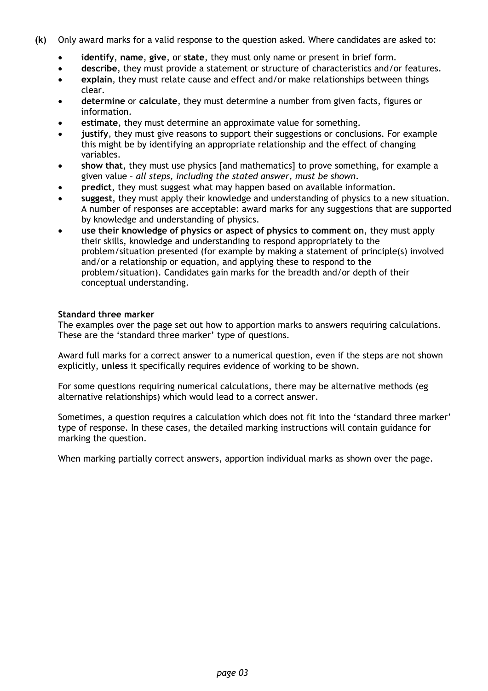- **(k)** Only award marks for a valid response to the question asked. Where candidates are asked to:
	- **identify**, **name**, **give**, or **state**, they must only name or present in brief form.
	- **describe**, they must provide a statement or structure of characteristics and/or features.
	- **explain**, they must relate cause and effect and/or make relationships between things clear.
	- **determine** or **calculate**, they must determine a number from given facts, figures or information.
	- **estimate**, they must determine an approximate value for something.
	- **justify**, they must give reasons to support their suggestions or conclusions. For example this might be by identifying an appropriate relationship and the effect of changing variables.
	- **show that**, they must use physics [and mathematics] to prove something, for example a given value – *all steps, including the stated answer, must be shown*.
	- **predict**, they must suggest what may happen based on available information.
	- **suggest**, they must apply their knowledge and understanding of physics to a new situation. A number of responses are acceptable: award marks for any suggestions that are supported by knowledge and understanding of physics.
	- **use their knowledge of physics or aspect of physics to comment on**, they must apply their skills, knowledge and understanding to respond appropriately to the problem/situation presented (for example by making a statement of principle(s) involved and/or a relationship or equation, and applying these to respond to the problem/situation). Candidates gain marks for the breadth and/or depth of their conceptual understanding.

#### **Standard three marker**

The examples over the page set out how to apportion marks to answers requiring calculations. These are the 'standard three marker' type of questions.

Award full marks for a correct answer to a numerical question, even if the steps are not shown explicitly, **unless** it specifically requires evidence of working to be shown.

For some questions requiring numerical calculations, there may be alternative methods (eg alternative relationships) which would lead to a correct answer.

Sometimes, a question requires a calculation which does not fit into the 'standard three marker' type of response. In these cases, the detailed marking instructions will contain guidance for marking the question.

When marking partially correct answers, apportion individual marks as shown over the page.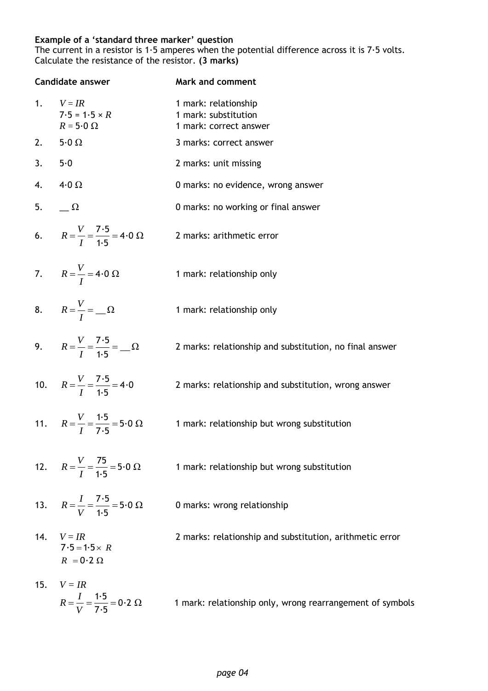#### **Example of a 'standard three marker' question**

The current in a resistor is  $1.5$  amperes when the potential difference across it is  $7.5$  volts. Calculate the resistance of the resistor. **(3 marks)**

|     | <b>Candidate answer</b>                                      | <b>Mark and comment</b>                                                |
|-----|--------------------------------------------------------------|------------------------------------------------------------------------|
|     | 1. $V = IR$<br>$7.5 = 1.5 \times R$<br>$R = 5.0 \Omega$      | 1 mark: relationship<br>1 mark: substitution<br>1 mark: correct answer |
|     | 2. $5.0 \Omega$                                              | 3 marks: correct answer                                                |
|     | 3. 5.0                                                       | 2 marks: unit missing                                                  |
| 4.  | 4.0 $\Omega$                                                 | 0 marks: no evidence, wrong answer                                     |
|     | 5. $\qquad \qquad \Omega$                                    | 0 marks: no working or final answer                                    |
|     | 6. $R = \frac{V}{I} = \frac{7.5}{1.5} = 4.0 \Omega$          | 2 marks: arithmetic error                                              |
|     | 7. $R = \frac{V}{I} = 4.0 \Omega$                            | 1 mark: relationship only                                              |
|     | 8. $R = \frac{V}{I} = \Omega$                                | 1 mark: relationship only                                              |
|     | 9. $R = \frac{V}{I} = \frac{7.5}{1.5} = \Omega$              | 2 marks: relationship and substitution, no final answer                |
|     | 10. $R = \frac{V}{I} = \frac{7.5}{1.5} = 4.0$                | 2 marks: relationship and substitution, wrong answer                   |
|     | 11. $R = \frac{V}{I} = \frac{1.5}{7.5} = 5.0 \Omega$         | 1 mark: relationship but wrong substitution                            |
|     | 12. $R = \frac{V}{I} = \frac{75}{1.5} = 5.0 \Omega$          | 1 mark: relationship but wrong substitution                            |
|     | 13. $R = \frac{I}{V} = \frac{7.5}{1.5} = 5.0 \Omega$         | 0 marks: wrong relationship                                            |
|     | 14. $V = IR$<br>$7.5 = 1.5 \times R$<br>$R = 0.2 \Omega$     | 2 marks: relationship and substitution, arithmetic error               |
| 15. | $V = IR$<br>$R = \frac{I}{V} = \frac{1.5}{7.5} = 0.2 \Omega$ | 1 mark: relationship only, wrong rearrangement of symbols              |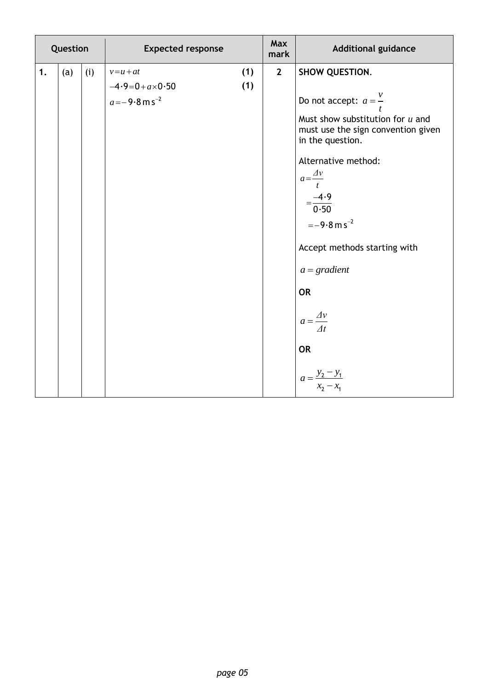| Question |     |     | <b>Expected response</b>                                            |            | <b>Max</b><br>mark | <b>Additional guidance</b>                                                                                                                                                                                                                                                                                                                                                             |
|----------|-----|-----|---------------------------------------------------------------------|------------|--------------------|----------------------------------------------------------------------------------------------------------------------------------------------------------------------------------------------------------------------------------------------------------------------------------------------------------------------------------------------------------------------------------------|
| 1.       | (a) | (i) | $v=u+at$<br>$-4.9=0 + a \times 0.50$<br>$a = -9.8 \text{ m s}^{-2}$ | (1)<br>(1) | $\overline{2}$     | SHOW QUESTION.<br>Do not accept: $a = \frac{v}{t}$<br>Must show substitution for $u$ and<br>must use the sign convention given<br>in the question.<br>Alternative method:<br>$a=\frac{\Delta v}{2}$<br>$\mathbf{t}$<br>$=\frac{-4.9}{0.50}$<br>$=-9.8 \text{ m s}^{-2}$<br>Accept methods starting with<br>$a = gradient$<br><b>OR</b><br>$a = \frac{\Delta v}{\Delta t}$<br><b>OR</b> |
|          |     |     |                                                                     |            |                    | $a = \frac{y_2 - y_1}{x_2 - x_1}$                                                                                                                                                                                                                                                                                                                                                      |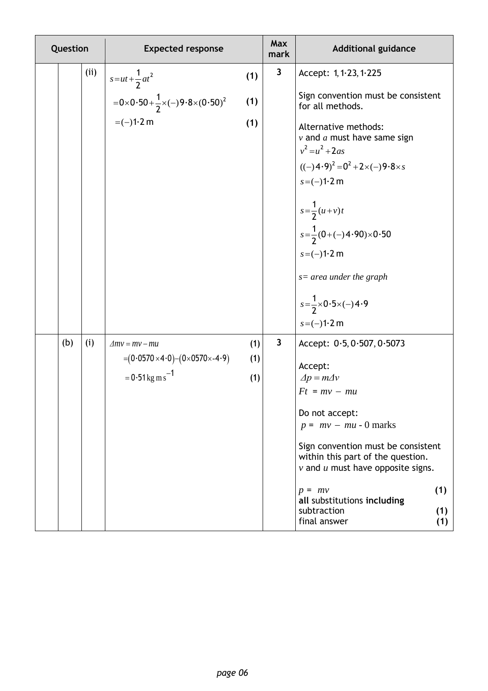| Question |      | <b>Expected response</b>                                                    |     | Max<br>mark             | <b>Additional guidance</b>                                                                                       |
|----------|------|-----------------------------------------------------------------------------|-----|-------------------------|------------------------------------------------------------------------------------------------------------------|
|          | (ii) | $s = ut + \frac{1}{2}at^2$                                                  | (1) | $\mathbf{3}$            | Accept: 1, 1.23, 1.225                                                                                           |
|          |      | $=0\times 0.50+\frac{1}{2}\times (-)9.8\times (0.50)^2$                     | (1) |                         | Sign convention must be consistent<br>for all methods.                                                           |
|          |      | $= (-)1.2$ m                                                                | (1) |                         | Alternative methods:<br>$\nu$ and $a$ must have same sign<br>$v^2 = u^2 + 2as$                                   |
|          |      |                                                                             |     |                         | $((-)4.9)^2 = 0^2 + 2 \times (-)9.8 \times s$                                                                    |
|          |      |                                                                             |     |                         | $s = (-1)^{1 \cdot 2} m$                                                                                         |
|          |      |                                                                             |     |                         | $s = \frac{1}{2}(u+v)t$                                                                                          |
|          |      |                                                                             |     |                         | $s=\frac{1}{2}(0+(-)4.90)\times 0.50$                                                                            |
|          |      |                                                                             |     |                         | $s = (-1)^{1.2}$ m                                                                                               |
|          |      |                                                                             |     |                         | $s=$ area under the graph                                                                                        |
|          |      |                                                                             |     |                         | $s=\frac{1}{2}\times 0.5\times (-)4.9$                                                                           |
|          |      |                                                                             |     |                         | $s = (-)1.2$ m                                                                                                   |
| (b)      | (i)  | $\Delta mv = mv - mu$                                                       | (1) | $\overline{\mathbf{3}}$ | Accept: 0.5, 0.507, 0.5073                                                                                       |
|          |      | $=(0.0570\times4.0)-(0\times0570\times-4.9)$<br>$= 0.51 \text{kg m s}^{-1}$ | (1) |                         | Accept:                                                                                                          |
|          |      |                                                                             | (1) |                         | $\Delta p = m \Delta v$<br>$Ft = mv - mu$                                                                        |
|          |      |                                                                             |     |                         | Do not accept:                                                                                                   |
|          |      |                                                                             |     |                         | $p = mv - mu - 0$ marks                                                                                          |
|          |      |                                                                             |     |                         | Sign convention must be consistent<br>within this part of the question.<br>$v$ and $u$ must have opposite signs. |
|          |      |                                                                             |     |                         | (1)<br>$p = mv$<br>all substitutions including                                                                   |
|          |      |                                                                             |     |                         | subtraction<br>(1)<br>final answer<br>(1)                                                                        |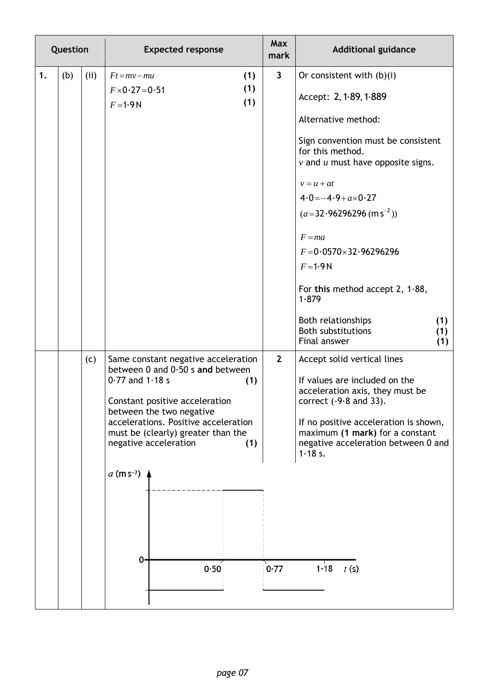|    | Question |     | <b>Expected response</b>                                                                                                                                                                                                                                                                                           | <b>Max</b><br>mark      | <b>Additional guidance</b>                                                                                                                                                                                                                                                                                                                                                       |
|----|----------|-----|--------------------------------------------------------------------------------------------------------------------------------------------------------------------------------------------------------------------------------------------------------------------------------------------------------------------|-------------------------|----------------------------------------------------------------------------------------------------------------------------------------------------------------------------------------------------------------------------------------------------------------------------------------------------------------------------------------------------------------------------------|
| 1. | (b)      | (i) | (1)<br>$Ft = mv - mu$<br>(1)<br>$F \times 0.27 = 0.51$<br>(1)<br>$F = 1.9N$                                                                                                                                                                                                                                        | $\overline{\mathbf{3}}$ | Or consistent with $(b)(i)$<br>Accept: 2, 1.89, 1.889<br>Alternative method:<br>Sign convention must be consistent<br>for this method.<br>$\nu$ and $u$ must have opposite signs.<br>$v = u + at$<br>$4.0 = -4.9 + a \times 0.27$<br>$(a=32.96296296 \, (m s^{-2}))$<br>$F = ma$<br>$F = 0.0570 \times 32.96296296$<br>$F = 1.9N$<br>For this method accept 2, $1.88$ ,<br>1.879 |
|    |          |     |                                                                                                                                                                                                                                                                                                                    |                         | Both relationships<br>(1)<br><b>Both substitutions</b><br>(1)<br>Final answer<br>(1)                                                                                                                                                                                                                                                                                             |
|    |          | (c) | Same constant negative acceleration<br>between 0 and $0.50$ s and between<br>$0.77$ and 1.18 s<br>(1)<br>Constant positive acceleration<br>between the two negative<br>accelerations. Positive acceleration<br>must be (clearly) greater than the<br>negative acceleration<br>(1)<br>$a$ (m s <sup>-2</sup> )<br>0 | $\overline{2}$          | Accept solid vertical lines<br>If values are included on the<br>acceleration axis, they must be<br>correct $(-9.8$ and 33).<br>If no positive acceleration is shown,<br>maximum (1 mark) for a constant<br>negative acceleration between 0 and<br>1.18 s.                                                                                                                        |
|    |          |     | 0.50                                                                                                                                                                                                                                                                                                               | 0.77                    | 1.18 $t(s)$                                                                                                                                                                                                                                                                                                                                                                      |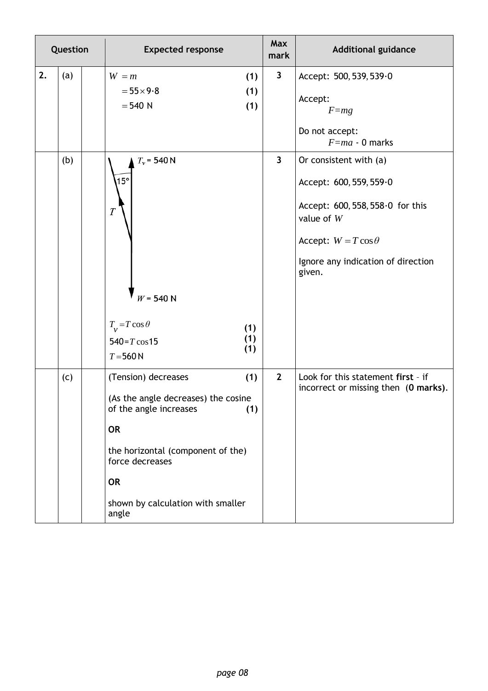| Question |     | <b>Expected response</b>                                                                                                                                                                                                           |                | <b>Additional guidance</b>                                                                                                                                                           |
|----------|-----|------------------------------------------------------------------------------------------------------------------------------------------------------------------------------------------------------------------------------------|----------------|--------------------------------------------------------------------------------------------------------------------------------------------------------------------------------------|
| 2.       | (a) | $W = m$<br>(1)<br>$= 55 \times 9.8$<br>(1)<br>$= 540 N$<br>(1)                                                                                                                                                                     | $\mathbf{3}$   | Accept: 500, 539, 539.0<br>Accept:<br>$F = mg$<br>Do not accept:<br>$F = ma - 0$ marks                                                                                               |
|          | (b) | $T_v$ = 540 N<br>$15^{\circ}$<br>$\boldsymbol{T}$<br>$W = 540 N$<br>$T_v = T \cos \theta$<br>(1)<br>(1)<br>$540 = T \cos 15$<br>(1)<br>$T = 560 N$                                                                                 | $\mathbf{3}$   | Or consistent with (a)<br>Accept: 600, 559, 559.0<br>Accept: 600, 558, 558.0 for this<br>value of $W$<br>Accept: $W = T \cos \theta$<br>Ignore any indication of direction<br>given. |
|          | (c) | (1)<br>(Tension) decreases<br>(As the angle decreases) the cosine<br>of the angle increases<br>(1)<br><b>OR</b><br>the horizontal (component of the)<br>force decreases<br><b>OR</b><br>shown by calculation with smaller<br>angle | $\overline{2}$ | Look for this statement first - if<br>incorrect or missing then (0 marks).                                                                                                           |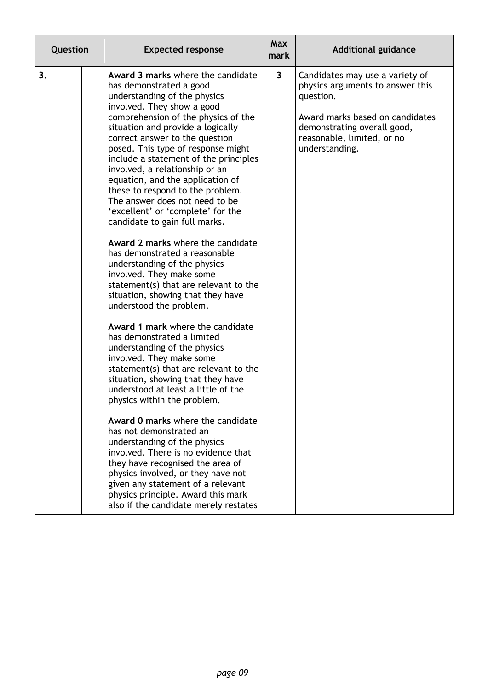| Question | <b>Expected response</b>                                                                                                                                                                                                                                                                                                                                                                                                                                                                                                                                                                                                                                                                                                                                                                                                                                                                                                                                                                                                                                                                                                                                                                                                                                                                                                                                                                                    | <b>Max</b><br>mark      | <b>Additional guidance</b>                                                                                                                                                                         |
|----------|-------------------------------------------------------------------------------------------------------------------------------------------------------------------------------------------------------------------------------------------------------------------------------------------------------------------------------------------------------------------------------------------------------------------------------------------------------------------------------------------------------------------------------------------------------------------------------------------------------------------------------------------------------------------------------------------------------------------------------------------------------------------------------------------------------------------------------------------------------------------------------------------------------------------------------------------------------------------------------------------------------------------------------------------------------------------------------------------------------------------------------------------------------------------------------------------------------------------------------------------------------------------------------------------------------------------------------------------------------------------------------------------------------------|-------------------------|----------------------------------------------------------------------------------------------------------------------------------------------------------------------------------------------------|
| 3.       | Award 3 marks where the candidate<br>has demonstrated a good<br>understanding of the physics<br>involved. They show a good<br>comprehension of the physics of the<br>situation and provide a logically<br>correct answer to the question<br>posed. This type of response might<br>include a statement of the principles<br>involved, a relationship or an<br>equation, and the application of<br>these to respond to the problem.<br>The answer does not need to be<br>'excellent' or 'complete' for the<br>candidate to gain full marks.<br>Award 2 marks where the candidate<br>has demonstrated a reasonable<br>understanding of the physics<br>involved. They make some<br>statement(s) that are relevant to the<br>situation, showing that they have<br>understood the problem.<br>Award 1 mark where the candidate<br>has demonstrated a limited<br>understanding of the physics<br>involved. They make some<br>statement(s) that are relevant to the<br>situation, showing that they have<br>understood at least a little of the<br>physics within the problem.<br>Award 0 marks where the candidate<br>has not demonstrated an<br>understanding of the physics<br>involved. There is no evidence that<br>they have recognised the area of<br>physics involved, or they have not<br>given any statement of a relevant<br>physics principle. Award this mark<br>also if the candidate merely restates | $\overline{\mathbf{3}}$ | Candidates may use a variety of<br>physics arguments to answer this<br>question.<br>Award marks based on candidates<br>demonstrating overall good,<br>reasonable, limited, or no<br>understanding. |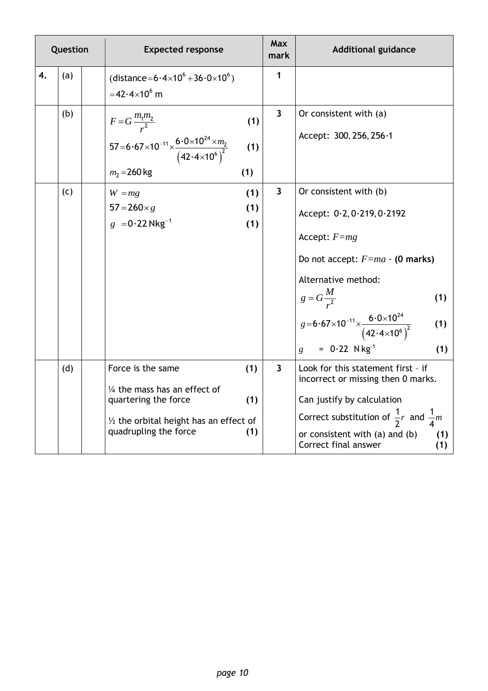|    | Question | <b>Expected response</b>                                                                                                                                                                | Max<br>mark             | <b>Additional guidance</b>                                                                                                                                                                                                                                                                                                        |
|----|----------|-----------------------------------------------------------------------------------------------------------------------------------------------------------------------------------------|-------------------------|-----------------------------------------------------------------------------------------------------------------------------------------------------------------------------------------------------------------------------------------------------------------------------------------------------------------------------------|
| 4. | (a)      | (distance= $6.4 \times 10^6 + 36.0 \times 10^6$ )<br>$=42.4\times10^{6}$ m                                                                                                              | 1                       |                                                                                                                                                                                                                                                                                                                                   |
|    | (b)      | $F = G \frac{m_1 m_2}{r^2}$<br>(1)<br>57=6.67×10 <sup>-11</sup> × $\frac{6.0\times10^{24} \times m_2}{(42.4\times10^6)^2}$<br>(1)<br>$m_2 = 260$ kg<br>(1)                              | $\overline{\mathbf{3}}$ | Or consistent with (a)<br>Accept: 300, 256, 256.1                                                                                                                                                                                                                                                                                 |
|    | (c)      | (1)<br>$W = mg$<br>$57 = 260 \times g$<br>(1)<br>$g = 0.22$ Nkg <sup>-1</sup><br>(1)                                                                                                    | $\mathbf{3}$            | Or consistent with (b)<br>Accept: 0.2, 0.219, 0.2192<br>Accept: $F=mg$<br>Do not accept: $F=ma - (0$ marks)<br>Alternative method:<br>g = $G \frac{M}{r^2}$<br>g = 6 · 67 × 10 <sup>-11</sup> × $\frac{6 \cdot 0 \times 10^{24}}{(42 \cdot 4 \times 10^6)^2}$<br>(1)<br>(1)<br>$= 0.22$ N kg <sup>-1</sup><br>(1)<br>$\mathbf{g}$ |
|    | (d)      | Force is the same<br>(1)<br>$\frac{1}{4}$ the mass has an effect of<br>quartering the force<br>(1)<br>$\frac{1}{2}$ the orbital height has an effect of<br>quadrupling the force<br>(1) | $\overline{\mathbf{3}}$ | Look for this statement first - if<br>incorrect or missing then 0 marks.<br>Can justify by calculation<br>Correct substitution of $\frac{1}{2}r$ and $\frac{1}{4}m$<br>or consistent with (a) and (b)<br>(1)<br>Correct final answer<br>(1)                                                                                       |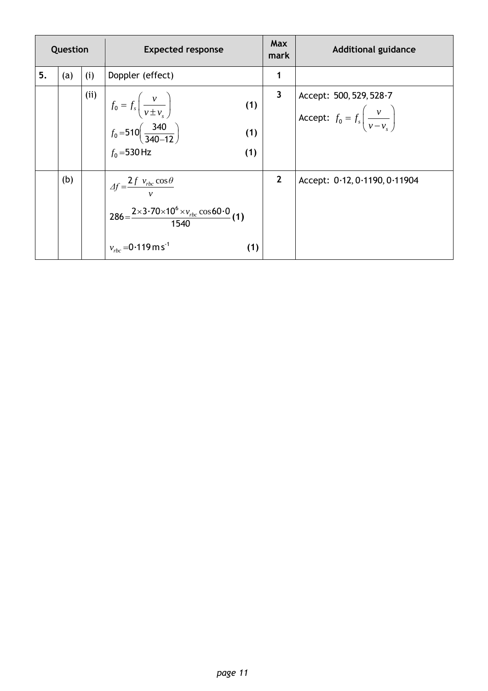| Question |     |      | <b>Expected response</b>                                                                                                                                                                   | <b>Max</b><br>mark | <b>Additional guidance</b>                                                              |
|----------|-----|------|--------------------------------------------------------------------------------------------------------------------------------------------------------------------------------------------|--------------------|-----------------------------------------------------------------------------------------|
| 5.       | (a) | (i)  | Doppler (effect)                                                                                                                                                                           | 1                  |                                                                                         |
|          |     | (ii) | $\begin{cases}\nf_0 = f_s \left( \frac{v}{v \pm v_s} \right) \\ f_0 = 510 \left( \frac{340}{340 - 12} \right) \\ f_0 = 530 \text{ Hz}\n\end{cases}$<br>(1)<br>(1)<br>(1)                   | 3                  | Accept: 500, 529, 528 $\cdot$ 7<br>Accept: $f_0 = f_s \left( \frac{v}{v - v_s} \right)$ |
|          | (b) |      | $\Delta f = \frac{\mathcal{L}f v_{rbc} \cos \theta}{v}$<br>$286 = \frac{2 \times 3.70 \times 10^6 \times v_{rbc} \cos 60.0}{1540} (1)$<br>$v_{\text{rbc}} = 0.119 \text{ m s}^{-1}$<br>(1) | $\mathbf{2}$       | Accept: $0.12, 0.1190, 0.11904$                                                         |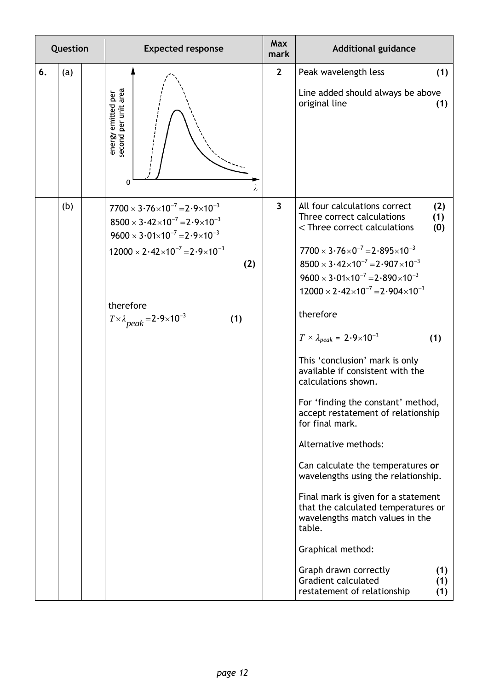| Question  | <b>Expected response</b>                                                                                                                                                                                                                                                                                           | Max<br>mark             | <b>Additional guidance</b>                                                                                                                                                                                                                                                                                                                                                                                                                                                                                                                                                                                                                                                                                                                                                                                                                                                                                                                                                                                                                                                                       |
|-----------|--------------------------------------------------------------------------------------------------------------------------------------------------------------------------------------------------------------------------------------------------------------------------------------------------------------------|-------------------------|--------------------------------------------------------------------------------------------------------------------------------------------------------------------------------------------------------------------------------------------------------------------------------------------------------------------------------------------------------------------------------------------------------------------------------------------------------------------------------------------------------------------------------------------------------------------------------------------------------------------------------------------------------------------------------------------------------------------------------------------------------------------------------------------------------------------------------------------------------------------------------------------------------------------------------------------------------------------------------------------------------------------------------------------------------------------------------------------------|
| 6.<br>(a) | second per unit area<br>energy emitted per<br>$\mathbf 0$<br>λ                                                                                                                                                                                                                                                     | $\mathbf{2}$            | Peak wavelength less<br>(1)<br>Line added should always be above<br>original line<br>(1)                                                                                                                                                                                                                                                                                                                                                                                                                                                                                                                                                                                                                                                                                                                                                                                                                                                                                                                                                                                                         |
| (b)       | $7700 \times 3.76 \times 10^{-7} = 2.9 \times 10^{-3}$<br>$8500 \times 3.42 \times 10^{-7} = 2.9 \times 10^{-3}$<br>$9600 \times 3.01 \times 10^{-7} = 2.9 \times 10^{-3}$<br>$12000 \times 2.42 \times 10^{-7} = 2.9 \times 10^{-3}$<br>(2)<br>therefore<br>$T \times \lambda$ peak = 2.9×10 <sup>-3</sup><br>(1) | $\overline{\mathbf{3}}$ | All four calculations correct<br>(2)<br>Three correct calculations<br>(1)<br><three calculations<br="" correct="">(0)<br/><math>7700 \times 3.76 \times 0^{-7} = 2.895 \times 10^{-3}</math><br/><math>8500 \times 3.42 \times 10^{-7} = 2.907 \times 10^{-3}</math><br/><math>9600 \times 3.01 \times 10^{-7} = 2.890 \times 10^{-3}</math><br/><math>12000 \times 2.42 \times 10^{-7} = 2.904 \times 10^{-3}</math><br/>therefore<br/><math>T \times \lambda_{peak} = 2.9 \times 10^{-3}</math><br/>(1)<br/>This 'conclusion' mark is only<br/>available if consistent with the<br/>calculations shown.<br/>For 'finding the constant' method,<br/>accept restatement of relationship<br/>for final mark.<br/>Alternative methods:<br/>Can calculate the temperatures or<br/>wavelengths using the relationship.<br/>Final mark is given for a statement<br/>that the calculated temperatures or<br/>wavelengths match values in the<br/>table.<br/>Graphical method:<br/>Graph drawn correctly<br/>(1)<br/><b>Gradient calculated</b><br/>(1)<br/>restatement of relationship<br/>(1)</three> |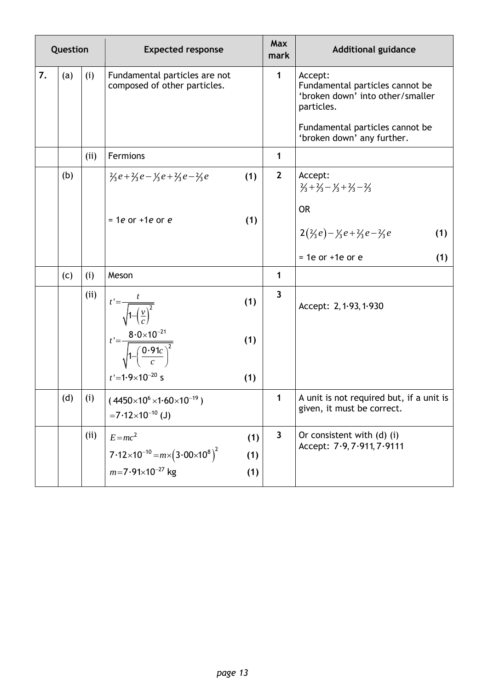| Question |     |      | <b>Expected response</b>                                                            | Max<br>mark             | <b>Additional guidance</b>                                                                   |
|----------|-----|------|-------------------------------------------------------------------------------------|-------------------------|----------------------------------------------------------------------------------------------|
| 7.       | (a) | (i)  | Fundamental particles are not<br>composed of other particles.                       | $\mathbf{1}$            | Accept:<br>Fundamental particles cannot be<br>'broken down' into other/smaller<br>particles. |
|          |     |      |                                                                                     |                         | Fundamental particles cannot be<br>'broken down' any further.                                |
|          |     | (i)  | Fermions                                                                            | 1                       |                                                                                              |
|          | (b) |      | (1)<br>$\frac{1}{2}e + \frac{1}{2}e - \frac{1}{2}e + \frac{1}{2}e - \frac{1}{2}e$   | $\mathbf{2}$            | Accept:<br>$\frac{2}{3} + \frac{2}{3} - \frac{1}{3} + \frac{2}{3} - \frac{2}{3}$             |
|          |     |      | (1)<br>$=$ 1e or +1e or e                                                           |                         | <b>OR</b>                                                                                    |
|          |     |      |                                                                                     |                         | $2(\frac{2}{3}e) - \frac{1}{3}e + \frac{2}{3}e - \frac{2}{3}e$<br>(1)                        |
|          |     |      |                                                                                     |                         | $= 1e$ or $+1e$ or $e$<br>(1)                                                                |
|          | (c) | (i)  | Meson                                                                               | 1                       |                                                                                              |
|          |     | (ii) | $t' = \frac{t}{\sqrt{1 - \left(\frac{v}{c}\right)^2}}$<br>(1)                       | $\overline{3}$          | Accept: 2, 1.93, 1.930                                                                       |
|          |     |      | $t' = \frac{8.0 \times 10^{-21}}{\sqrt{1 - \left(\frac{0.91c}{c}\right)^2}}$<br>(1) |                         |                                                                                              |
|          |     |      | $t' = 1.9 \times 10^{-20}$ s<br>(1)                                                 |                         |                                                                                              |
|          | (d) | (i)  | $(4450\times10^{6}\times1.60\times10^{-19})$<br>$=7.12\times10^{-10}$ (J)           | $\mathbf{1}$            | A unit is not required but, if a unit is<br>given, it must be correct.                       |
|          |     | (ii) | $E = mc^2$<br>(1)                                                                   | $\overline{\mathbf{3}}$ | Or consistent with (d) (i)<br>Accept: 7.9, 7.911, 7.9111                                     |
|          |     |      | $7.12\times10^{-10}$ = $m\times(3.00\times10^{8})^2$<br>(1)                         |                         |                                                                                              |
|          |     |      | $m=7.91\times10^{-27}$ kg<br>(1)                                                    |                         |                                                                                              |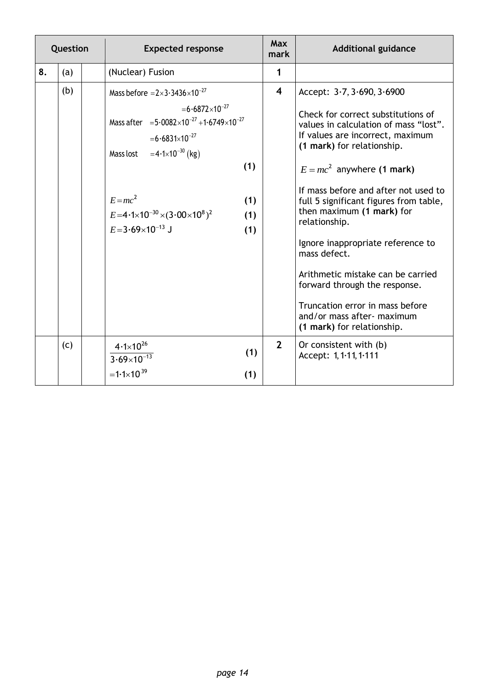| Question |     | <b>Expected response</b>                                                                                                                                                                                                                                                                                   |                          | <b>Max</b><br>mark      | <b>Additional guidance</b>                                                                                                                                                                                                                                                                                                                                                                                                                                                                                                                                              |
|----------|-----|------------------------------------------------------------------------------------------------------------------------------------------------------------------------------------------------------------------------------------------------------------------------------------------------------------|--------------------------|-------------------------|-------------------------------------------------------------------------------------------------------------------------------------------------------------------------------------------------------------------------------------------------------------------------------------------------------------------------------------------------------------------------------------------------------------------------------------------------------------------------------------------------------------------------------------------------------------------------|
| 8.       | (a) | (Nuclear) Fusion                                                                                                                                                                                                                                                                                           |                          | 1                       |                                                                                                                                                                                                                                                                                                                                                                                                                                                                                                                                                                         |
|          | (b) | Mass before $=2\times3.3436\times10^{-27}$<br>$= 6.6872 \times 10^{-27}$<br>Mass after $=5.0082\times10^{-27} + 1.6749\times10^{-27}$<br>$= 6.6831 \times 10^{-27}$<br>Mass lost = $4.1 \times 10^{-30}$ (kg)<br>$E = mc^2$<br>$E=4.1\times10^{-30}\times(3.00\times10^{8})^2$<br>$E=3.69\times10^{-13}$ J | (1)<br>(1)<br>(1)<br>(1) | $\overline{\mathbf{4}}$ | Accept: $3.7, 3.690, 3.6900$<br>Check for correct substitutions of<br>values in calculation of mass "lost".<br>If values are incorrect, maximum<br>(1 mark) for relationship.<br>$E = mc^2$ anywhere (1 mark)<br>If mass before and after not used to<br>full 5 significant figures from table,<br>then maximum (1 mark) for<br>relationship.<br>Ignore inappropriate reference to<br>mass defect.<br>Arithmetic mistake can be carried<br>forward through the response.<br>Truncation error in mass before<br>and/or mass after- maximum<br>(1 mark) for relationship. |
|          | (c) | $4.1 \times 10^{26}$<br>$3.69 \times 10^{-13}$<br>$=1.1\times10^{39}$                                                                                                                                                                                                                                      | (1)<br>(1)               | $\overline{2}$          | Or consistent with (b)<br>Accept: 1, 1.11, 1.111                                                                                                                                                                                                                                                                                                                                                                                                                                                                                                                        |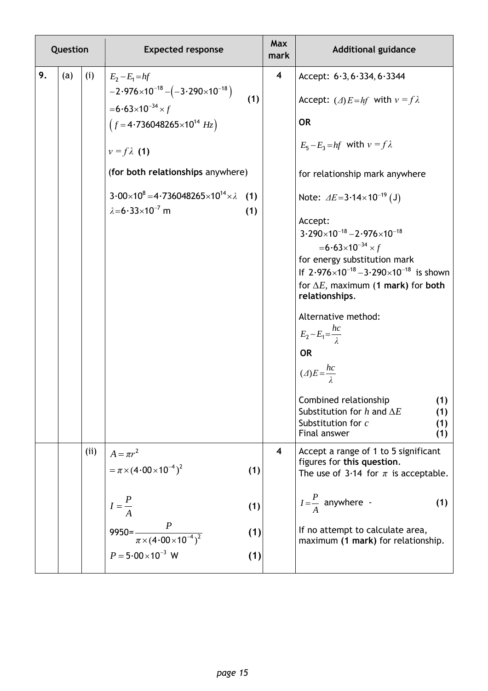|    | Question |      | <b>Expected response</b>                                                                                                                                                                                                                                                                                     |                   | Max<br>mark             | <b>Additional guidance</b>                                                                                                                                                                                                                                                                                                                                                                                                                                                                                                                                                                                                                                                          |
|----|----------|------|--------------------------------------------------------------------------------------------------------------------------------------------------------------------------------------------------------------------------------------------------------------------------------------------------------------|-------------------|-------------------------|-------------------------------------------------------------------------------------------------------------------------------------------------------------------------------------------------------------------------------------------------------------------------------------------------------------------------------------------------------------------------------------------------------------------------------------------------------------------------------------------------------------------------------------------------------------------------------------------------------------------------------------------------------------------------------------|
| 9. | (a)      | (i)  | $E_2 - E_1 = hf$<br>$-2.976\times10^{-18}-(-3.290\times10^{-18})$<br>$= 6.63 \times 10^{-34} \times f$<br>$(f=4.736048265\times10^{14}$ Hz)<br>$v = f \lambda$ (1)<br>(for both relationships anywhere)<br>$3.00\times10^8 = 4.736048265\times10^{14}\times\lambda$ (1)<br>$\lambda = 6.33 \times 10^{-7}$ m | (1)<br>(1)        | $\overline{\mathbf{4}}$ | Accept: $6.3, 6.334, 6.3344$<br>Accept: ( $\triangle$ ) $E = hf$ with $v = f\lambda$<br><b>OR</b><br>$E_5 - E_3 = hf$ with $v = f\lambda$<br>for relationship mark anywhere<br>Note: $\Delta E = 3.14 \times 10^{-19}$ (J)<br>Accept:<br>$3.290\times10^{-18} - 2.976\times10^{-18}$<br>$= 6.63 \times 10^{-34} \times f$<br>for energy substitution mark<br>If $2.976 \times 10^{-18} - 3.290 \times 10^{-18}$ is shown<br>for $\Delta E$ , maximum (1 mark) for both<br>relationships.<br>Alternative method:<br>$E_2 - E_1 = \frac{hc}{\lambda}$<br><b>OR</b><br>$(\triangle)E=\frac{hc}{\lambda}$<br>Combined relationship<br>(1)<br>Substitution for $h$ and $\Delta E$<br>(1) |
|    |          |      |                                                                                                                                                                                                                                                                                                              |                   |                         | Substitution for c<br>(1)<br>Final answer<br>(1)                                                                                                                                                                                                                                                                                                                                                                                                                                                                                                                                                                                                                                    |
|    |          | (ii) | $A = \pi r^2$<br>$=\pi \times (4.00 \times 10^{-4})^2$                                                                                                                                                                                                                                                       | (1)               | $\overline{\mathbf{4}}$ | Accept a range of 1 to 5 significant<br>figures for this question.<br>The use of 3.14 for $\pi$ is acceptable.                                                                                                                                                                                                                                                                                                                                                                                                                                                                                                                                                                      |
|    |          |      | $I=\frac{P}{A}$<br>9950= $\frac{P}{\pi \times (4.00 \times 10^{-4})^2}$<br>$P = 5.00 \times 10^{-3}$ W                                                                                                                                                                                                       | (1)<br>(1)<br>(1) |                         | $I=\frac{P}{4}$ anywhere -<br>(1)<br>If no attempt to calculate area,<br>maximum (1 mark) for relationship.                                                                                                                                                                                                                                                                                                                                                                                                                                                                                                                                                                         |
|    |          |      |                                                                                                                                                                                                                                                                                                              |                   |                         |                                                                                                                                                                                                                                                                                                                                                                                                                                                                                                                                                                                                                                                                                     |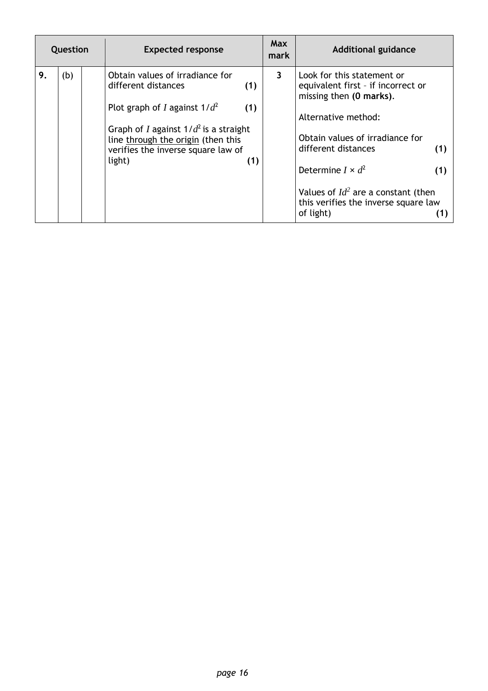| Question |     |  | <b>Expected response</b>                                                                                                                                                                                                                         | <b>Max</b><br>mark | <b>Additional guidance</b>                                                                                                                                                                                                                                                                                           |
|----------|-----|--|--------------------------------------------------------------------------------------------------------------------------------------------------------------------------------------------------------------------------------------------------|--------------------|----------------------------------------------------------------------------------------------------------------------------------------------------------------------------------------------------------------------------------------------------------------------------------------------------------------------|
| 9.       | (b) |  | Obtain values of irradiance for<br>different distances<br>(1)<br>Plot graph of I against $1/d^2$<br>(1)<br>Graph of I against $1/d^2$ is a straight<br>line through the origin (then this<br>verifies the inverse square law of<br>light)<br>(1) | $\mathbf{3}$       | Look for this statement or<br>equivalent first - if incorrect or<br>missing then (0 marks).<br>Alternative method:<br>Obtain values of irradiance for<br>different distances<br>(1)<br>Determine $I \times d^2$<br>(1)<br>Values of $Id^2$ are a constant (then<br>this verifies the inverse square law<br>of light) |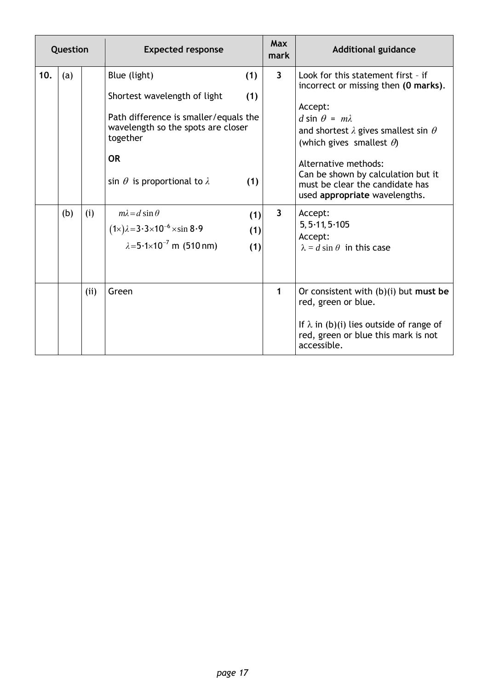| Question |     |      | <b>Expected response</b>                                                                                                                                                                          |                   | <b>Max</b><br>mark      | <b>Additional guidance</b>                                                                                                                                                                                                                                                                                                                      |
|----------|-----|------|---------------------------------------------------------------------------------------------------------------------------------------------------------------------------------------------------|-------------------|-------------------------|-------------------------------------------------------------------------------------------------------------------------------------------------------------------------------------------------------------------------------------------------------------------------------------------------------------------------------------------------|
| 10.      | (a) |      | Blue (light)<br>Shortest wavelength of light<br>Path difference is smaller/equals the<br>wavelength so the spots are closer<br>together<br><b>OR</b><br>sin $\theta$ is proportional to $\lambda$ | (1)<br>(1)<br>(1) | $\overline{\mathbf{3}}$ | Look for this statement first - if<br>incorrect or missing then (0 marks).<br>Accept:<br>$d \sin \theta = m\lambda$<br>and shortest $\lambda$ gives smallest sin $\theta$<br>(which gives smallest $\theta$ )<br>Alternative methods:<br>Can be shown by calculation but it<br>must be clear the candidate has<br>used appropriate wavelengths. |
|          | (b) | (i)  | $m\lambda = d \sin \theta$<br>$(1\times)\lambda = 3.3\times10^{-6}\times\sin 8.9$<br>$\lambda = 5.1 \times 10^{-7}$ m (510 nm)                                                                    | (1)<br>(1)<br>(1) | $\overline{\mathbf{3}}$ | Accept:<br>5, 5.11, 5.105<br>Accept:<br>$\lambda = d \sin \theta$ in this case                                                                                                                                                                                                                                                                  |
|          |     | (ii) | Green                                                                                                                                                                                             |                   | 1                       | Or consistent with $(b)(i)$ but must be<br>red, green or blue.<br>If $\lambda$ in (b)(i) lies outside of range of<br>red, green or blue this mark is not<br>accessible.                                                                                                                                                                         |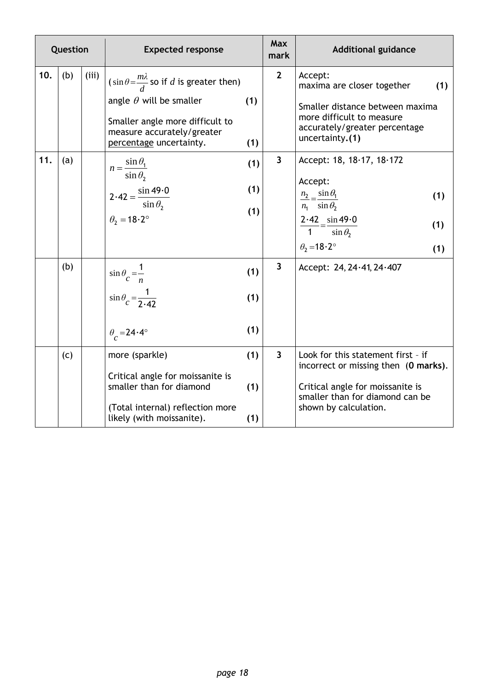| Question |     |       | <b>Expected response</b>                                                                                                                                                                 |                   | <b>Max</b><br>mark      | <b>Additional guidance</b>                                                                                                                                                                              |
|----------|-----|-------|------------------------------------------------------------------------------------------------------------------------------------------------------------------------------------------|-------------------|-------------------------|---------------------------------------------------------------------------------------------------------------------------------------------------------------------------------------------------------|
| 10.      | (b) | (iii) | $\sin\theta = \frac{m\lambda}{d}$ so if d is greater then)<br>angle $\theta$ will be smaller<br>Smaller angle more difficult to<br>measure accurately/greater<br>percentage uncertainty. | (1)<br>(1)        | $\overline{2}$          | Accept:<br>(1)<br>maxima are closer together<br>Smaller distance between maxima<br>more difficult to measure<br>accurately/greater percentage<br>uncertainty.(1)                                        |
| 11.      | (a) |       | $n = \frac{\sin \theta_1}{\sin \theta_2}$<br>$2.42 = \frac{\sin 49.0}{\sin \theta_2}$<br>$\theta_2 = 18.2^\circ$                                                                         | (1)<br>(1)<br>(1) | $\overline{\mathbf{3}}$ | Accept: $18, 18.17, 18.172$<br>Accept:<br>$\frac{n_2}{n_1} = \frac{\sin \theta_1}{\sin \theta_2}$<br>(1)<br>$\frac{2.42}{1} = \frac{\sin 49.0}{\sin \theta_2}$<br>(1)<br>$\theta_2 = 18.2^\circ$<br>(1) |
|          | (b) |       | $\sin \theta$ <sub>c</sub> = $\frac{1}{n}$<br>$\sin\theta_c = \frac{1}{2.42}$<br>$\theta$ <sub>c</sub> = 24.4°                                                                           | (1)<br>(1)<br>(1) | $\overline{\mathbf{3}}$ | Accept: 24, 24.41, 24.407                                                                                                                                                                               |
|          | (c) |       | more (sparkle)<br>Critical angle for moissanite is<br>smaller than for diamond<br>(Total internal) reflection more<br>likely (with moissanite).                                          | (1)<br>(1)<br>(1) | $\overline{\mathbf{3}}$ | Look for this statement first - if<br>incorrect or missing then (0 marks).<br>Critical angle for moissanite is<br>smaller than for diamond can be<br>shown by calculation.                              |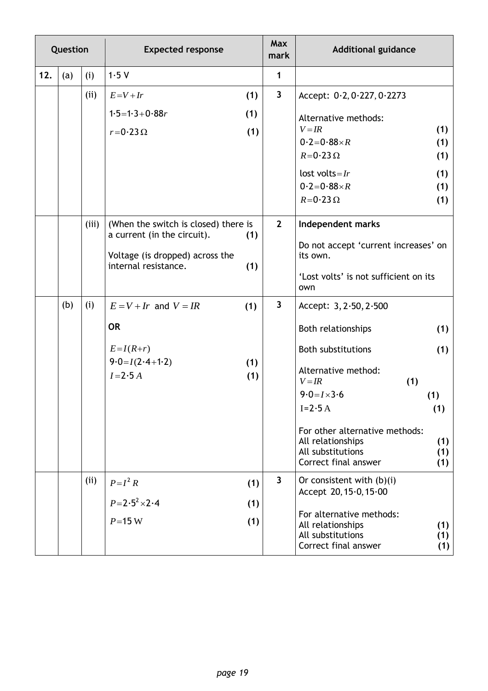| Question |     |       | <b>Expected response</b>             |     | Max<br>mark  | <b>Additional guidance</b>                    |            |
|----------|-----|-------|--------------------------------------|-----|--------------|-----------------------------------------------|------------|
| 12.      | (a) | (i)   | 1.5V                                 |     | 1            |                                               |            |
|          |     | (ii)  | $E = V + Ir$                         | (1) | $\mathbf{3}$ | Accept: 0.2, 0.227, 0.2273                    |            |
|          |     |       | $1.5 = 1.3 + 0.88r$                  | (1) |              | Alternative methods:                          |            |
|          |     |       | $r = 0.23 \Omega$                    | (1) |              | $V = IR$                                      | (1)        |
|          |     |       |                                      |     |              | $0.2 = 0.88 \times R$<br>$R = 0.23 \Omega$    | (1)<br>(1) |
|          |     |       |                                      |     |              | lost volts= $Ir$                              | (1)        |
|          |     |       |                                      |     |              | $0.2 = 0.88 \times R$                         | (1)        |
|          |     |       |                                      |     |              | $R = 0.23 \Omega$                             | (1)        |
|          |     | (iii) | (When the switch is closed) there is |     | $2^{\circ}$  | Independent marks                             |            |
|          |     |       | a current (in the circuit).          | (1) |              | Do not accept 'current increases' on          |            |
|          |     |       | Voltage (is dropped) across the      |     |              | its own.                                      |            |
|          |     |       | internal resistance.                 | (1) |              | 'Lost volts' is not sufficient on its<br>own  |            |
|          | (b) | (i)   | $E = V + Ir$ and $V = IR$            | (1) | $\mathbf{3}$ | Accept: $3, 2.50, 2.500$                      |            |
|          |     |       | <b>OR</b>                            |     |              | Both relationships                            | (1)        |
|          |     |       | $E=I(R+r)$                           |     |              | <b>Both substitutions</b>                     | (1)        |
|          |     |       | $9.0 = I(2.4 + 1.2)$                 | (1) |              | Alternative method:                           |            |
|          |     |       | $I=2.5A$                             | (1) |              | (1)<br>$V = IR$                               |            |
|          |     |       |                                      |     |              | $9.0 = I \times 3.6$                          | (1)        |
|          |     |       |                                      |     |              | $I=2.5A$                                      | (1)        |
|          |     |       |                                      |     |              | For other alternative methods:                |            |
|          |     |       |                                      |     |              | All relationships                             | (1)        |
|          |     |       |                                      |     |              | All substitutions<br>Correct final answer     | (1)<br>(1) |
|          |     | (ii)  | $P = I^2 R$                          | (1) | $\mathbf{3}$ | Or consistent with $(b)(i)$                   |            |
|          |     |       | $P = 2.5^2 \times 2.4$               | (1) |              | Accept 20, 15.0, 15.00                        |            |
|          |     |       | $P = 15$ W                           | (1) |              | For alternative methods:<br>All relationships | (1)        |
|          |     |       |                                      |     |              | All substitutions<br>Correct final answer     | (1)<br>(1) |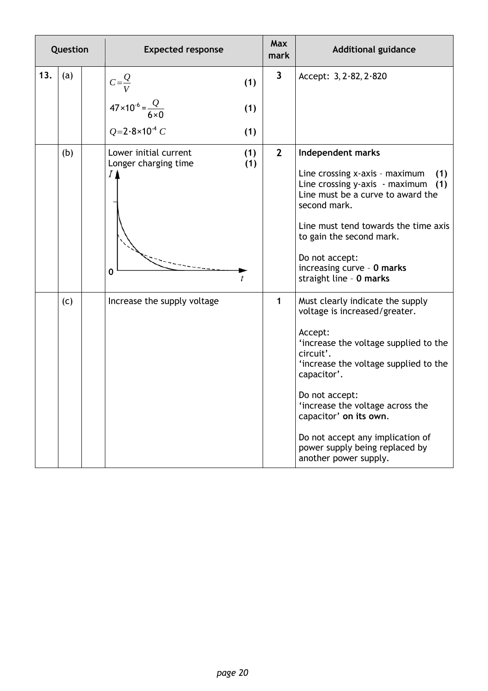| Question |     |  | <b>Expected response</b>                                        |            | <b>Max</b><br>mark      | <b>Additional guidance</b>                                                                                                                                                                                                                                                                                                                                               |
|----------|-----|--|-----------------------------------------------------------------|------------|-------------------------|--------------------------------------------------------------------------------------------------------------------------------------------------------------------------------------------------------------------------------------------------------------------------------------------------------------------------------------------------------------------------|
| 13.      | (a) |  | $C=\frac{Q}{V}$                                                 | (1)        | $\overline{\mathbf{3}}$ | Accept: $3, 2.82, 2.820$                                                                                                                                                                                                                                                                                                                                                 |
|          |     |  | $47 \times 10^{-6} = \frac{Q}{6 \times 0}$                      | (1)        |                         |                                                                                                                                                                                                                                                                                                                                                                          |
|          |     |  | $Q = 2.8 \times 10^{-4} C$                                      | (1)        |                         |                                                                                                                                                                                                                                                                                                                                                                          |
|          | (b) |  | Lower initial current<br>Longer charging time<br>$I\prime$<br>0 | (1)<br>(1) | $\overline{2}$          | Independent marks<br>Line crossing x-axis - maximum<br>(1)<br>Line crossing y-axis - maximum<br>(1)<br>Line must be a curve to award the<br>second mark.<br>Line must tend towards the time axis<br>to gain the second mark.<br>Do not accept:<br>increasing curve - 0 marks<br>straight line - 0 marks                                                                  |
|          | (c) |  | Increase the supply voltage                                     |            | $\mathbf{1}$            | Must clearly indicate the supply<br>voltage is increased/greater.<br>Accept:<br>'increase the voltage supplied to the<br>circuit'.<br>'increase the voltage supplied to the<br>capacitor'.<br>Do not accept:<br>increase the voltage across the<br>capacitor' on its own.<br>Do not accept any implication of<br>power supply being replaced by<br>another power supply. |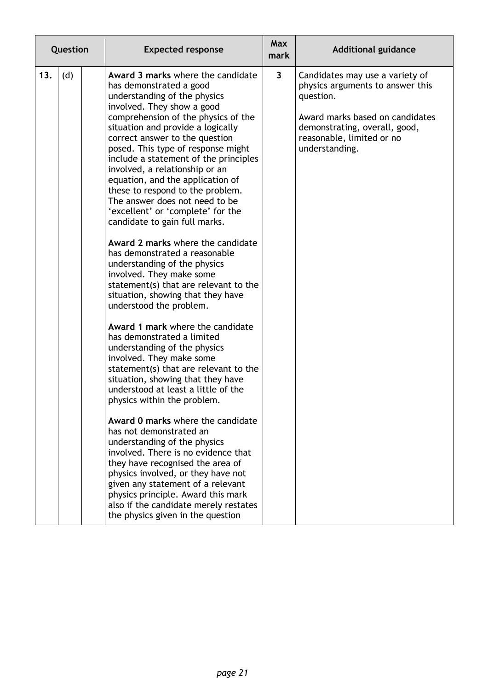| Question |     | <b>Expected response</b>                                                                                                                                                                                                                                                                                                                                                                                                                                                                                                                                                                                                                                                                                                                                                                                                                                                                                                                                                                                                                                                                                                                                                                                                                                                                                                                                                                                                                         | <b>Max</b><br>mark      | <b>Additional guidance</b>                                                                                                                                                                          |
|----------|-----|--------------------------------------------------------------------------------------------------------------------------------------------------------------------------------------------------------------------------------------------------------------------------------------------------------------------------------------------------------------------------------------------------------------------------------------------------------------------------------------------------------------------------------------------------------------------------------------------------------------------------------------------------------------------------------------------------------------------------------------------------------------------------------------------------------------------------------------------------------------------------------------------------------------------------------------------------------------------------------------------------------------------------------------------------------------------------------------------------------------------------------------------------------------------------------------------------------------------------------------------------------------------------------------------------------------------------------------------------------------------------------------------------------------------------------------------------|-------------------------|-----------------------------------------------------------------------------------------------------------------------------------------------------------------------------------------------------|
| 13.      | (d) | Award 3 marks where the candidate<br>has demonstrated a good<br>understanding of the physics<br>involved. They show a good<br>comprehension of the physics of the<br>situation and provide a logically<br>correct answer to the question<br>posed. This type of response might<br>include a statement of the principles<br>involved, a relationship or an<br>equation, and the application of<br>these to respond to the problem.<br>The answer does not need to be<br>'excellent' or 'complete' for the<br>candidate to gain full marks.<br>Award 2 marks where the candidate<br>has demonstrated a reasonable<br>understanding of the physics<br>involved. They make some<br>statement(s) that are relevant to the<br>situation, showing that they have<br>understood the problem.<br>Award 1 mark where the candidate<br>has demonstrated a limited<br>understanding of the physics<br>involved. They make some<br>statement(s) that are relevant to the<br>situation, showing that they have<br>understood at least a little of the<br>physics within the problem.<br>Award 0 marks where the candidate<br>has not demonstrated an<br>understanding of the physics<br>involved. There is no evidence that<br>they have recognised the area of<br>physics involved, or they have not<br>given any statement of a relevant<br>physics principle. Award this mark<br>also if the candidate merely restates<br>the physics given in the question | $\overline{\mathbf{3}}$ | Candidates may use a variety of<br>physics arguments to answer this<br>question.<br>Award marks based on candidates<br>demonstrating, overall, good,<br>reasonable, limited or no<br>understanding. |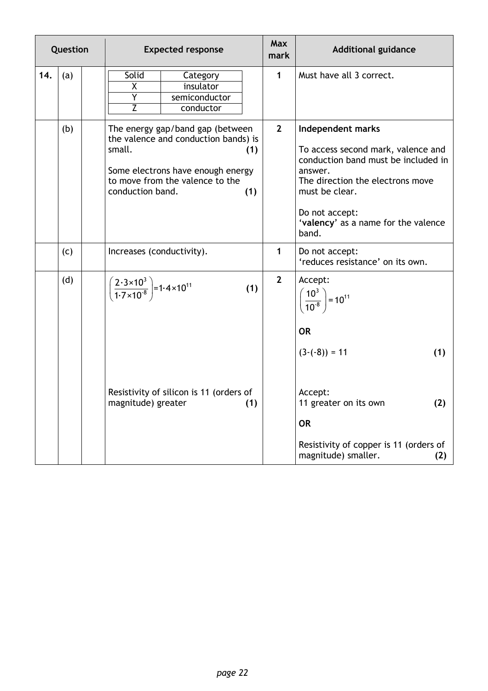| Question |     |  | <b>Expected response</b>                                                          |                                                                                                                                                  |            | <b>Max</b><br>mark | <b>Additional guidance</b>                                                                                                                                                                                                        |
|----------|-----|--|-----------------------------------------------------------------------------------|--------------------------------------------------------------------------------------------------------------------------------------------------|------------|--------------------|-----------------------------------------------------------------------------------------------------------------------------------------------------------------------------------------------------------------------------------|
| 14.      | (a) |  | Solid<br>X<br>Ÿ<br>$\overline{Z}$                                                 | Category<br>insulator<br>semiconductor<br>conductor                                                                                              |            | $\mathbf{1}$       | Must have all 3 correct.                                                                                                                                                                                                          |
|          | (b) |  | small.<br>conduction band.                                                        | The energy gap/band gap (between<br>the valence and conduction bands) is<br>Some electrons have enough energy<br>to move from the valence to the | (1)<br>(1) | $\overline{2}$     | Independent marks<br>To access second mark, valence and<br>conduction band must be included in<br>answer.<br>The direction the electrons move<br>must be clear.<br>Do not accept:<br>'valency' as a name for the valence<br>band. |
|          | (c) |  | Increases (conductivity).                                                         |                                                                                                                                                  |            | 1                  | Do not accept:<br>'reduces resistance' on its own.                                                                                                                                                                                |
|          | (d) |  | $\left(\frac{2\cdot3\times10^3}{1\cdot7\times10^8}\right) = 1\cdot4\times10^{11}$ |                                                                                                                                                  | (1)        | $\overline{2}$     | Accept:<br>$\left(\frac{10^3}{10^8}\right) = 10^{11}$<br><b>OR</b><br>$(3-(-8)) = 11$<br>(1)                                                                                                                                      |
|          |     |  | magnitude) greater                                                                | Resistivity of silicon is 11 (orders of                                                                                                          | (1)        |                    | Accept:<br>11 greater on its own<br>(2)<br><b>OR</b><br>Resistivity of copper is 11 (orders of<br>magnitude) smaller.<br>(2)                                                                                                      |